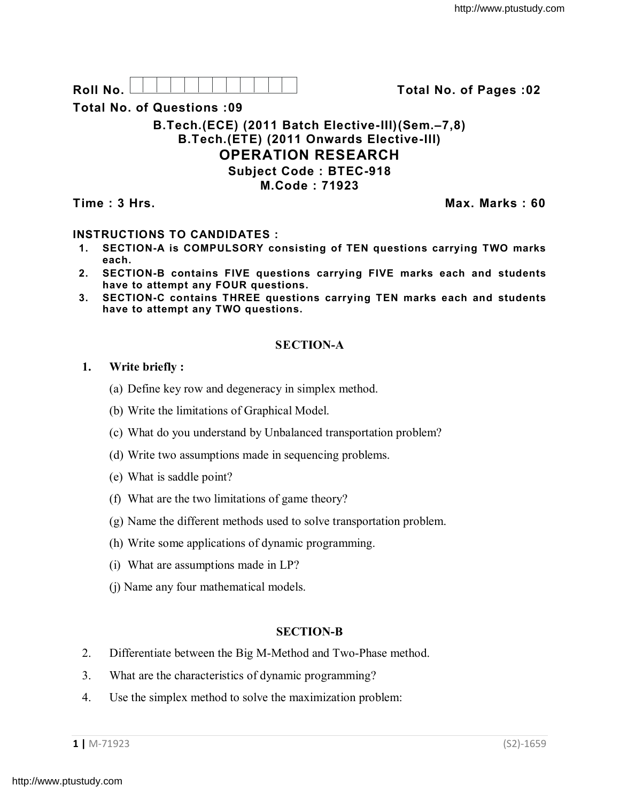**Roll No. Total No. of Pages :02**

**Total No. of Questions :09**

### **B.Tech.(ECE) (2011 Batch Elective-III)(Sem.–7,8) B.Tech.(ETE) (2011 Onwards Elective-III) OPERATION RESEARCH Subject Code : BTEC-918 M.Code : 71923**

**Time : 3 Hrs. Max. Marks : 60**

# **INSTRUCTIONS TO CANDIDATES :**

- **1. SECTION-A is COMPULSORY consisting of TEN questions carrying TWO marks each.**
- **2. SECTION-B contains FIVE questions carrying FIVE marks each and students have to attempt any FOUR questions.**
- **3. SECTION-C contains THREE questions carrying TEN marks each and students have to attempt any TWO questions.**

## **SECTION-A**

## **1. Write briefly :**

- (a) Define key row and degeneracy in simplex method.
- (b) Write the limitations of Graphical Model.
- (c) What do you understand by Unbalanced transportation problem?
- (d) Write two assumptions made in sequencing problems.
- (e) What is saddle point?
- (f) What are the two limitations of game theory?
- (g) Name the different methods used to solve transportation problem.
- (h) Write some applications of dynamic programming.
- (i) What are assumptions made in LP?
- (j) Name any four mathematical models.

# **SECTION-B**

- 2. Differentiate between the Big M-Method and Two-Phase method.
- 3. What are the characteristics of dynamic programming?
- 4. Use the simplex method to solve the maximization problem: